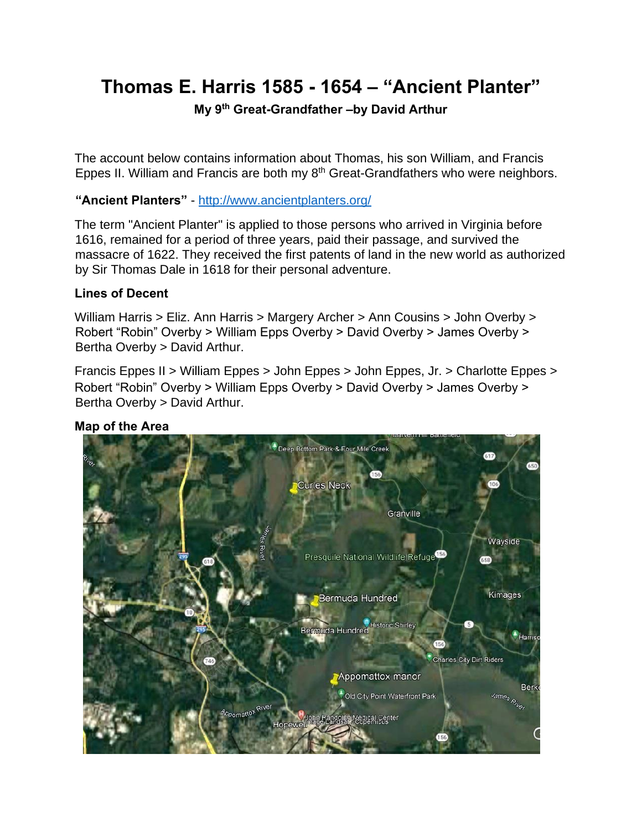# **Thomas E. Harris 1585 - 1654 – "Ancient Planter"**

**My 9th Great-Grandfather –by David Arthur** 

The account below contains information about Thomas, his son William, and Francis Eppes II. William and Francis are both my 8<sup>th</sup> Great-Grandfathers who were neighbors.

#### **"Ancient Planters"** - <http://www.ancientplanters.org/>

The term "Ancient Planter" is applied to those persons who arrived in Virginia before 1616, remained for a period of three years, paid their passage, and survived the massacre of 1622. They received the first patents of land in the new world as authorized by Sir Thomas Dale in 1618 for their personal adventure.

#### **Lines of Decent**

William Harris > Eliz. Ann Harris > Margery Archer > Ann Cousins > John Overby > Robert "Robin" Overby > William Epps Overby > David Overby > James Overby > Bertha Overby > David Arthur.

Francis Eppes II > William Eppes > John Eppes > John Eppes, Jr. > Charlotte Eppes > Robert "Robin" Overby > William Epps Overby > David Overby > James Overby > Bertha Overby > David Arthur.



#### **Map of the Area**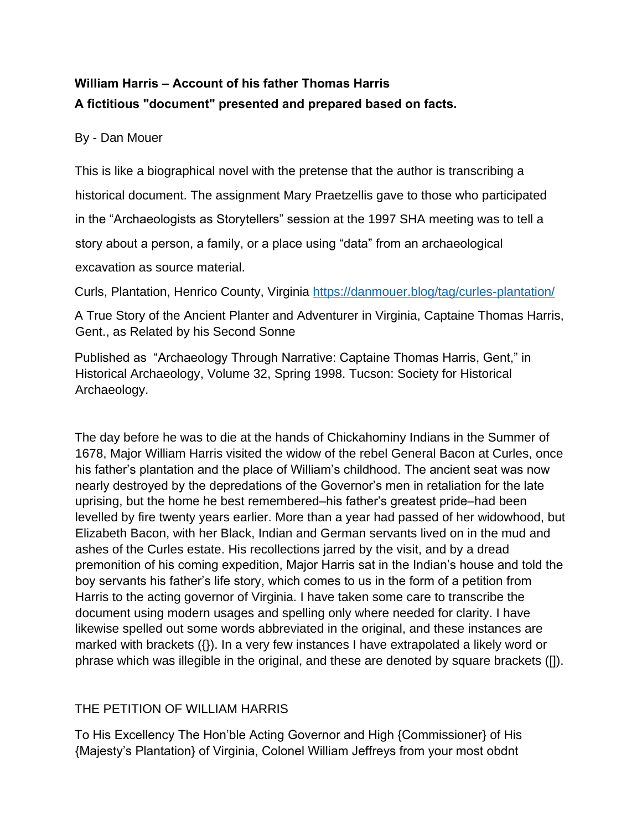# **William Harris – Account of his father Thomas Harris A fictitious "document" presented and prepared based on facts.**

# By - Dan Mouer

This is like a biographical novel with the pretense that the author is transcribing a

historical document. The assignment Mary Praetzellis gave to those who participated

in the "Archaeologists as Storytellers" session at the 1997 SHA meeting was to tell a

story about a person, a family, or a place using "data" from an archaeological

excavation as source material.

Curls, Plantation, Henrico County, Virginia<https://danmouer.blog/tag/curles-plantation/>

A True Story of the Ancient Planter and Adventurer in Virginia, Captaine Thomas Harris, Gent., as Related by his Second Sonne

Published as "Archaeology Through Narrative: Captaine Thomas Harris, Gent," in Historical Archaeology, Volume 32, Spring 1998. Tucson: Society for Historical Archaeology.

The day before he was to die at the hands of Chickahominy Indians in the Summer of 1678, Major William Harris visited the widow of the rebel General Bacon at Curles, once his father's plantation and the place of William's childhood. The ancient seat was now nearly destroyed by the depredations of the Governor's men in retaliation for the late uprising, but the home he best remembered–his father's greatest pride–had been levelled by fire twenty years earlier. More than a year had passed of her widowhood, but Elizabeth Bacon, with her Black, Indian and German servants lived on in the mud and ashes of the Curles estate. His recollections jarred by the visit, and by a dread premonition of his coming expedition, Major Harris sat in the Indian's house and told the boy servants his father's life story, which comes to us in the form of a petition from Harris to the acting governor of Virginia. I have taken some care to transcribe the document using modern usages and spelling only where needed for clarity. I have likewise spelled out some words abbreviated in the original, and these instances are marked with brackets ({}). In a very few instances I have extrapolated a likely word or phrase which was illegible in the original, and these are denoted by square brackets ([]).

# THE PETITION OF WILLIAM HARRIS

To His Excellency The Hon'ble Acting Governor and High {Commissioner} of His {Majesty's Plantation} of Virginia, Colonel William Jeffreys from your most obdnt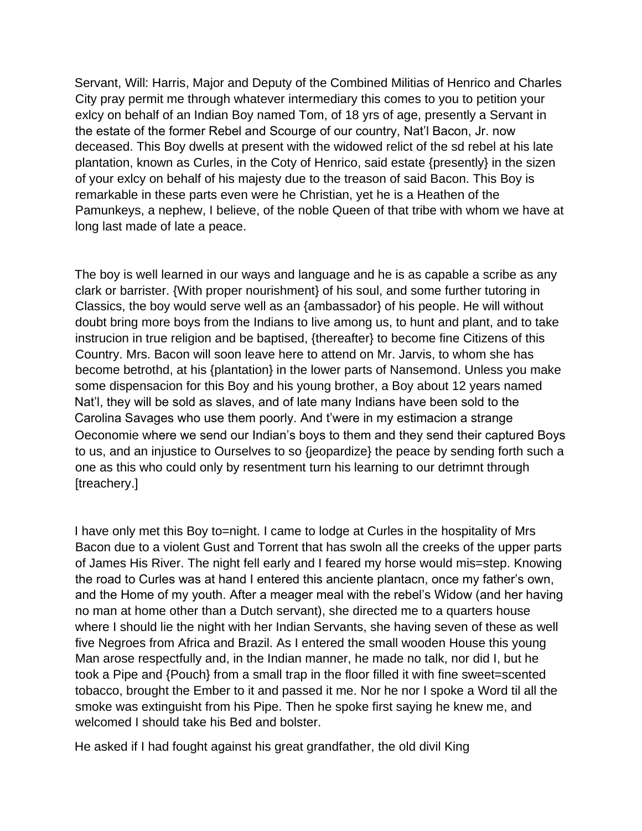Servant, Will: Harris, Major and Deputy of the Combined Militias of Henrico and Charles City pray permit me through whatever intermediary this comes to you to petition your exlcy on behalf of an Indian Boy named Tom, of 18 yrs of age, presently a Servant in the estate of the former Rebel and Scourge of our country, Nat'l Bacon, Jr. now deceased. This Boy dwells at present with the widowed relict of the sd rebel at his late plantation, known as Curles, in the Coty of Henrico, said estate {presently} in the sizen of your exlcy on behalf of his majesty due to the treason of said Bacon. This Boy is remarkable in these parts even were he Christian, yet he is a Heathen of the Pamunkeys, a nephew, I believe, of the noble Queen of that tribe with whom we have at long last made of late a peace.

The boy is well learned in our ways and language and he is as capable a scribe as any clark or barrister. {With proper nourishment} of his soul, and some further tutoring in Classics, the boy would serve well as an {ambassador} of his people. He will without doubt bring more boys from the Indians to live among us, to hunt and plant, and to take instrucion in true religion and be baptised, {thereafter} to become fine Citizens of this Country. Mrs. Bacon will soon leave here to attend on Mr. Jarvis, to whom she has become betrothd, at his {plantation} in the lower parts of Nansemond. Unless you make some dispensacion for this Boy and his young brother, a Boy about 12 years named Nat'l, they will be sold as slaves, and of late many Indians have been sold to the Carolina Savages who use them poorly. And t'were in my estimacion a strange Oeconomie where we send our Indian's boys to them and they send their captured Boys to us, and an injustice to Ourselves to so {jeopardize} the peace by sending forth such a one as this who could only by resentment turn his learning to our detrimnt through [treachery.]

I have only met this Boy to=night. I came to lodge at Curles in the hospitality of Mrs Bacon due to a violent Gust and Torrent that has swoln all the creeks of the upper parts of James His River. The night fell early and I feared my horse would mis=step. Knowing the road to Curles was at hand I entered this anciente plantacn, once my father's own, and the Home of my youth. After a meager meal with the rebel's Widow (and her having no man at home other than a Dutch servant), she directed me to a quarters house where I should lie the night with her Indian Servants, she having seven of these as well five Negroes from Africa and Brazil. As I entered the small wooden House this young Man arose respectfully and, in the Indian manner, he made no talk, nor did I, but he took a Pipe and {Pouch} from a small trap in the floor filled it with fine sweet=scented tobacco, brought the Ember to it and passed it me. Nor he nor I spoke a Word til all the smoke was extinguisht from his Pipe. Then he spoke first saying he knew me, and welcomed I should take his Bed and bolster.

He asked if I had fought against his great grandfather, the old divil King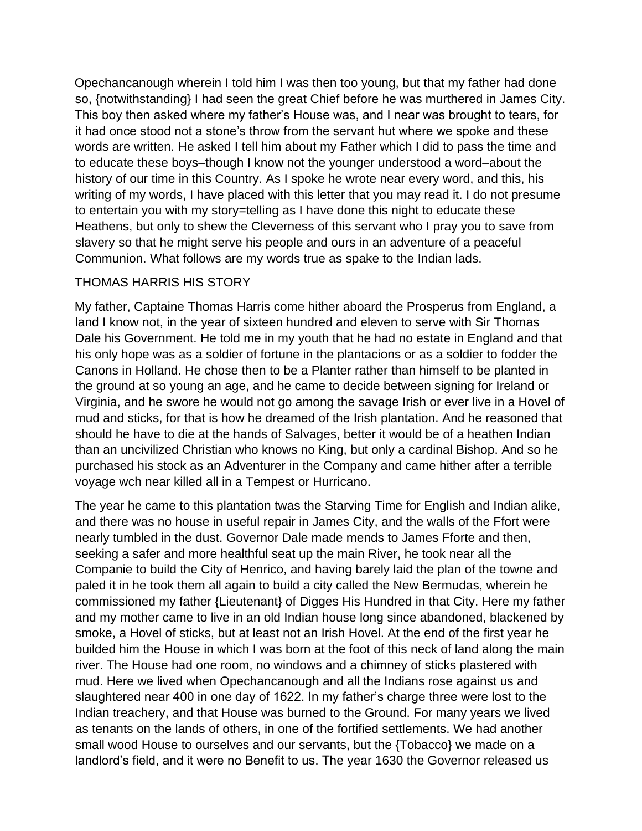Opechancanough wherein I told him I was then too young, but that my father had done so, {notwithstanding} I had seen the great Chief before he was murthered in James City. This boy then asked where my father's House was, and I near was brought to tears, for it had once stood not a stone's throw from the servant hut where we spoke and these words are written. He asked I tell him about my Father which I did to pass the time and to educate these boys–though I know not the younger understood a word–about the history of our time in this Country. As I spoke he wrote near every word, and this, his writing of my words, I have placed with this letter that you may read it. I do not presume to entertain you with my story=telling as I have done this night to educate these Heathens, but only to shew the Cleverness of this servant who I pray you to save from slavery so that he might serve his people and ours in an adventure of a peaceful Communion. What follows are my words true as spake to the Indian lads.

#### THOMAS HARRIS HIS STORY

My father, Captaine Thomas Harris come hither aboard the Prosperus from England, a land I know not, in the year of sixteen hundred and eleven to serve with Sir Thomas Dale his Government. He told me in my youth that he had no estate in England and that his only hope was as a soldier of fortune in the plantacions or as a soldier to fodder the Canons in Holland. He chose then to be a Planter rather than himself to be planted in the ground at so young an age, and he came to decide between signing for Ireland or Virginia, and he swore he would not go among the savage Irish or ever live in a Hovel of mud and sticks, for that is how he dreamed of the Irish plantation. And he reasoned that should he have to die at the hands of Salvages, better it would be of a heathen Indian than an uncivilized Christian who knows no King, but only a cardinal Bishop. And so he purchased his stock as an Adventurer in the Company and came hither after a terrible voyage wch near killed all in a Tempest or Hurricano.

The year he came to this plantation twas the Starving Time for English and Indian alike, and there was no house in useful repair in James City, and the walls of the Ffort were nearly tumbled in the dust. Governor Dale made mends to James Fforte and then, seeking a safer and more healthful seat up the main River, he took near all the Companie to build the City of Henrico, and having barely laid the plan of the towne and paled it in he took them all again to build a city called the New Bermudas, wherein he commissioned my father {Lieutenant} of Digges His Hundred in that City. Here my father and my mother came to live in an old Indian house long since abandoned, blackened by smoke, a Hovel of sticks, but at least not an Irish Hovel. At the end of the first year he builded him the House in which I was born at the foot of this neck of land along the main river. The House had one room, no windows and a chimney of sticks plastered with mud. Here we lived when Opechancanough and all the Indians rose against us and slaughtered near 400 in one day of 1622. In my father's charge three were lost to the Indian treachery, and that House was burned to the Ground. For many years we lived as tenants on the lands of others, in one of the fortified settlements. We had another small wood House to ourselves and our servants, but the {Tobacco} we made on a landlord's field, and it were no Benefit to us. The year 1630 the Governor released us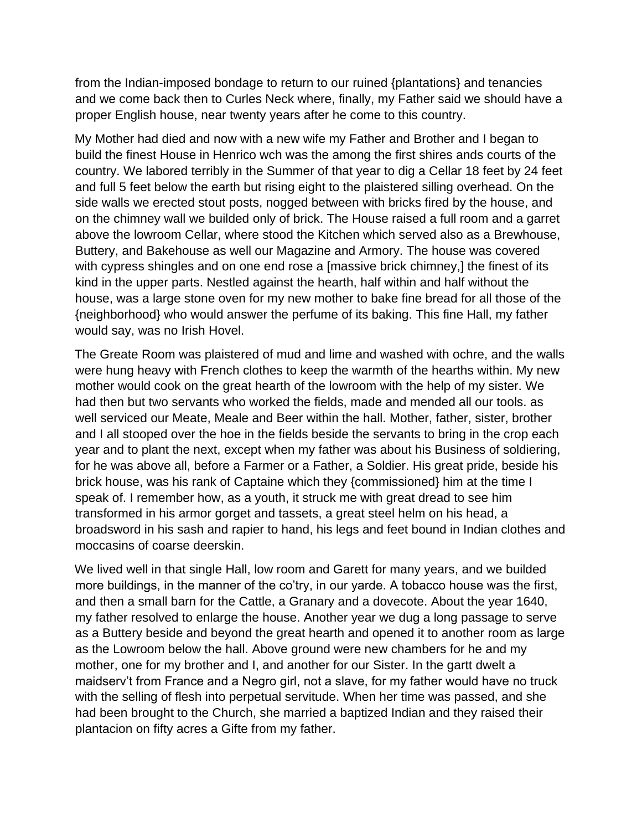from the Indian-imposed bondage to return to our ruined {plantations} and tenancies and we come back then to Curles Neck where, finally, my Father said we should have a proper English house, near twenty years after he come to this country.

My Mother had died and now with a new wife my Father and Brother and I began to build the finest House in Henrico wch was the among the first shires ands courts of the country. We labored terribly in the Summer of that year to dig a Cellar 18 feet by 24 feet and full 5 feet below the earth but rising eight to the plaistered silling overhead. On the side walls we erected stout posts, nogged between with bricks fired by the house, and on the chimney wall we builded only of brick. The House raised a full room and a garret above the lowroom Cellar, where stood the Kitchen which served also as a Brewhouse, Buttery, and Bakehouse as well our Magazine and Armory. The house was covered with cypress shingles and on one end rose a [massive brick chimney,] the finest of its kind in the upper parts. Nestled against the hearth, half within and half without the house, was a large stone oven for my new mother to bake fine bread for all those of the {neighborhood} who would answer the perfume of its baking. This fine Hall, my father would say, was no Irish Hovel.

The Greate Room was plaistered of mud and lime and washed with ochre, and the walls were hung heavy with French clothes to keep the warmth of the hearths within. My new mother would cook on the great hearth of the lowroom with the help of my sister. We had then but two servants who worked the fields, made and mended all our tools. as well serviced our Meate, Meale and Beer within the hall. Mother, father, sister, brother and I all stooped over the hoe in the fields beside the servants to bring in the crop each year and to plant the next, except when my father was about his Business of soldiering, for he was above all, before a Farmer or a Father, a Soldier. His great pride, beside his brick house, was his rank of Captaine which they {commissioned} him at the time I speak of. I remember how, as a youth, it struck me with great dread to see him transformed in his armor gorget and tassets, a great steel helm on his head, a broadsword in his sash and rapier to hand, his legs and feet bound in Indian clothes and moccasins of coarse deerskin.

We lived well in that single Hall, low room and Garett for many years, and we builded more buildings, in the manner of the co'try, in our yarde. A tobacco house was the first, and then a small barn for the Cattle, a Granary and a dovecote. About the year 1640, my father resolved to enlarge the house. Another year we dug a long passage to serve as a Buttery beside and beyond the great hearth and opened it to another room as large as the Lowroom below the hall. Above ground were new chambers for he and my mother, one for my brother and I, and another for our Sister. In the gartt dwelt a maidserv't from France and a Negro girl, not a slave, for my father would have no truck with the selling of flesh into perpetual servitude. When her time was passed, and she had been brought to the Church, she married a baptized Indian and they raised their plantacion on fifty acres a Gifte from my father.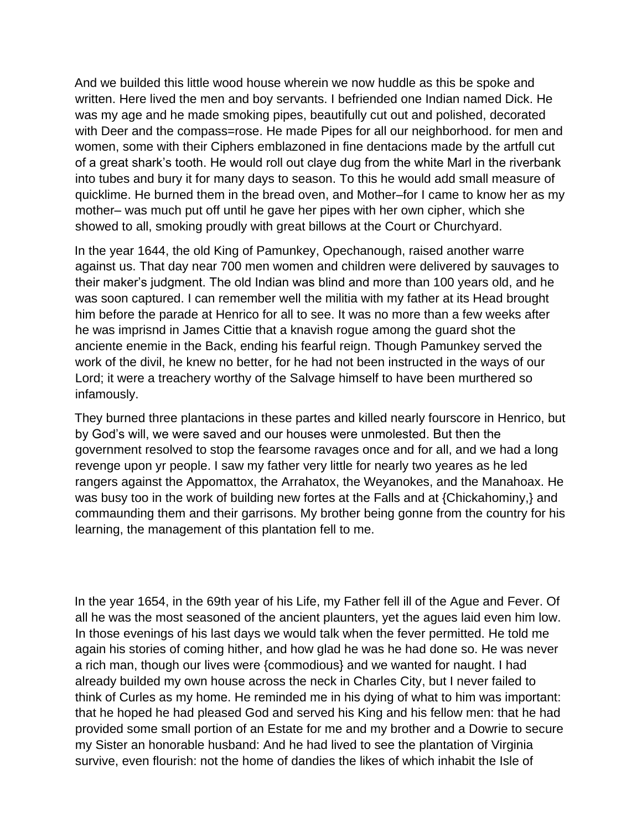And we builded this little wood house wherein we now huddle as this be spoke and written. Here lived the men and boy servants. I befriended one Indian named Dick. He was my age and he made smoking pipes, beautifully cut out and polished, decorated with Deer and the compass=rose. He made Pipes for all our neighborhood. for men and women, some with their Ciphers emblazoned in fine dentacions made by the artfull cut of a great shark's tooth. He would roll out claye dug from the white Marl in the riverbank into tubes and bury it for many days to season. To this he would add small measure of quicklime. He burned them in the bread oven, and Mother–for I came to know her as my mother– was much put off until he gave her pipes with her own cipher, which she showed to all, smoking proudly with great billows at the Court or Churchyard.

In the year 1644, the old King of Pamunkey, Opechanough, raised another warre against us. That day near 700 men women and children were delivered by sauvages to their maker's judgment. The old Indian was blind and more than 100 years old, and he was soon captured. I can remember well the militia with my father at its Head brought him before the parade at Henrico for all to see. It was no more than a few weeks after he was imprisnd in James Cittie that a knavish rogue among the guard shot the anciente enemie in the Back, ending his fearful reign. Though Pamunkey served the work of the divil, he knew no better, for he had not been instructed in the ways of our Lord; it were a treachery worthy of the Salvage himself to have been murthered so infamously.

They burned three plantacions in these partes and killed nearly fourscore in Henrico, but by God's will, we were saved and our houses were unmolested. But then the government resolved to stop the fearsome ravages once and for all, and we had a long revenge upon yr people. I saw my father very little for nearly two yeares as he led rangers against the Appomattox, the Arrahatox, the Weyanokes, and the Manahoax. He was busy too in the work of building new fortes at the Falls and at {Chickahominy,} and commaunding them and their garrisons. My brother being gonne from the country for his learning, the management of this plantation fell to me.

In the year 1654, in the 69th year of his Life, my Father fell ill of the Ague and Fever. Of all he was the most seasoned of the ancient plaunters, yet the agues laid even him low. In those evenings of his last days we would talk when the fever permitted. He told me again his stories of coming hither, and how glad he was he had done so. He was never a rich man, though our lives were {commodious} and we wanted for naught. I had already builded my own house across the neck in Charles City, but I never failed to think of Curles as my home. He reminded me in his dying of what to him was important: that he hoped he had pleased God and served his King and his fellow men: that he had provided some small portion of an Estate for me and my brother and a Dowrie to secure my Sister an honorable husband: And he had lived to see the plantation of Virginia survive, even flourish: not the home of dandies the likes of which inhabit the Isle of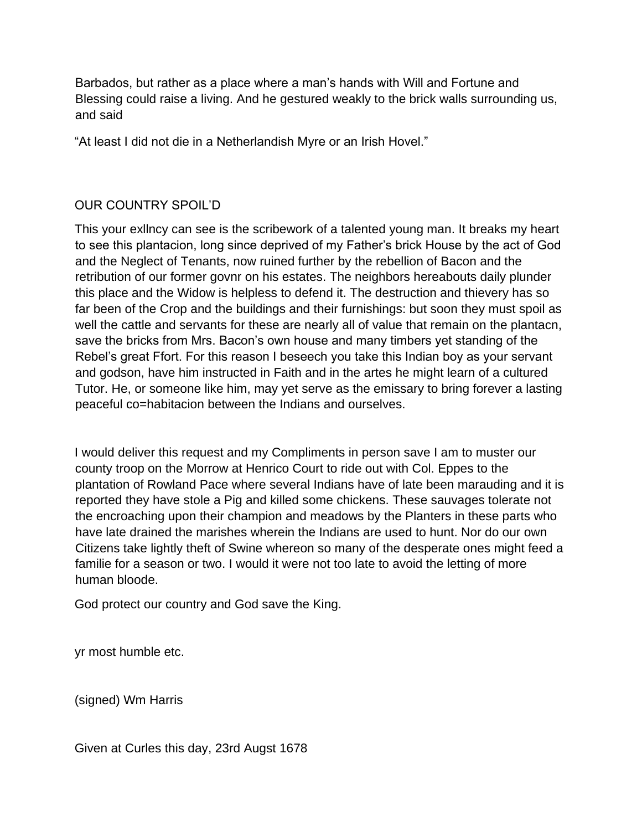Barbados, but rather as a place where a man's hands with Will and Fortune and Blessing could raise a living. And he gestured weakly to the brick walls surrounding us, and said

"At least I did not die in a Netherlandish Myre or an Irish Hovel."

## OUR COUNTRY SPOIL'D

This your exllncy can see is the scribework of a talented young man. It breaks my heart to see this plantacion, long since deprived of my Father's brick House by the act of God and the Neglect of Tenants, now ruined further by the rebellion of Bacon and the retribution of our former govnr on his estates. The neighbors hereabouts daily plunder this place and the Widow is helpless to defend it. The destruction and thievery has so far been of the Crop and the buildings and their furnishings: but soon they must spoil as well the cattle and servants for these are nearly all of value that remain on the plantacn, save the bricks from Mrs. Bacon's own house and many timbers yet standing of the Rebel's great Ffort. For this reason I beseech you take this Indian boy as your servant and godson, have him instructed in Faith and in the artes he might learn of a cultured Tutor. He, or someone like him, may yet serve as the emissary to bring forever a lasting peaceful co=habitacion between the Indians and ourselves.

I would deliver this request and my Compliments in person save I am to muster our county troop on the Morrow at Henrico Court to ride out with Col. Eppes to the plantation of Rowland Pace where several Indians have of late been marauding and it is reported they have stole a Pig and killed some chickens. These sauvages tolerate not the encroaching upon their champion and meadows by the Planters in these parts who have late drained the marishes wherein the Indians are used to hunt. Nor do our own Citizens take lightly theft of Swine whereon so many of the desperate ones might feed a familie for a season or two. I would it were not too late to avoid the letting of more human bloode.

God protect our country and God save the King.

yr most humble etc.

(signed) Wm Harris

Given at Curles this day, 23rd Augst 1678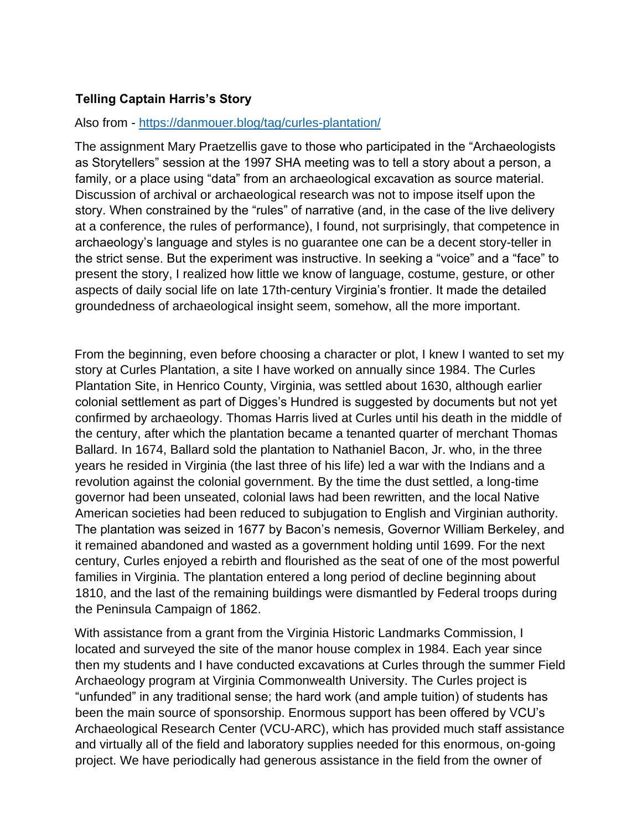# **Telling Captain Harris's Story**

#### Also from - <https://danmouer.blog/tag/curles-plantation/>

The assignment Mary Praetzellis gave to those who participated in the "Archaeologists as Storytellers" session at the 1997 SHA meeting was to tell a story about a person, a family, or a place using "data" from an archaeological excavation as source material. Discussion of archival or archaeological research was not to impose itself upon the story. When constrained by the "rules" of narrative (and, in the case of the live delivery at a conference, the rules of performance), I found, not surprisingly, that competence in archaeology's language and styles is no guarantee one can be a decent story-teller in the strict sense. But the experiment was instructive. In seeking a "voice" and a "face" to present the story, I realized how little we know of language, costume, gesture, or other aspects of daily social life on late 17th-century Virginia's frontier. It made the detailed groundedness of archaeological insight seem, somehow, all the more important.

From the beginning, even before choosing a character or plot, I knew I wanted to set my story at Curles Plantation, a site I have worked on annually since 1984. The Curles Plantation Site, in Henrico County, Virginia, was settled about 1630, although earlier colonial settlement as part of Digges's Hundred is suggested by documents but not yet confirmed by archaeology. Thomas Harris lived at Curles until his death in the middle of the century, after which the plantation became a tenanted quarter of merchant Thomas Ballard. In 1674, Ballard sold the plantation to Nathaniel Bacon, Jr. who, in the three years he resided in Virginia (the last three of his life) led a war with the Indians and a revolution against the colonial government. By the time the dust settled, a long-time governor had been unseated, colonial laws had been rewritten, and the local Native American societies had been reduced to subjugation to English and Virginian authority. The plantation was seized in 1677 by Bacon's nemesis, Governor William Berkeley, and it remained abandoned and wasted as a government holding until 1699. For the next century, Curles enjoyed a rebirth and flourished as the seat of one of the most powerful families in Virginia. The plantation entered a long period of decline beginning about 1810, and the last of the remaining buildings were dismantled by Federal troops during the Peninsula Campaign of 1862.

With assistance from a grant from the Virginia Historic Landmarks Commission, I located and surveyed the site of the manor house complex in 1984. Each year since then my students and I have conducted excavations at Curles through the summer Field Archaeology program at Virginia Commonwealth University. The Curles project is "unfunded" in any traditional sense; the hard work (and ample tuition) of students has been the main source of sponsorship. Enormous support has been offered by VCU's Archaeological Research Center (VCU-ARC), which has provided much staff assistance and virtually all of the field and laboratory supplies needed for this enormous, on-going project. We have periodically had generous assistance in the field from the owner of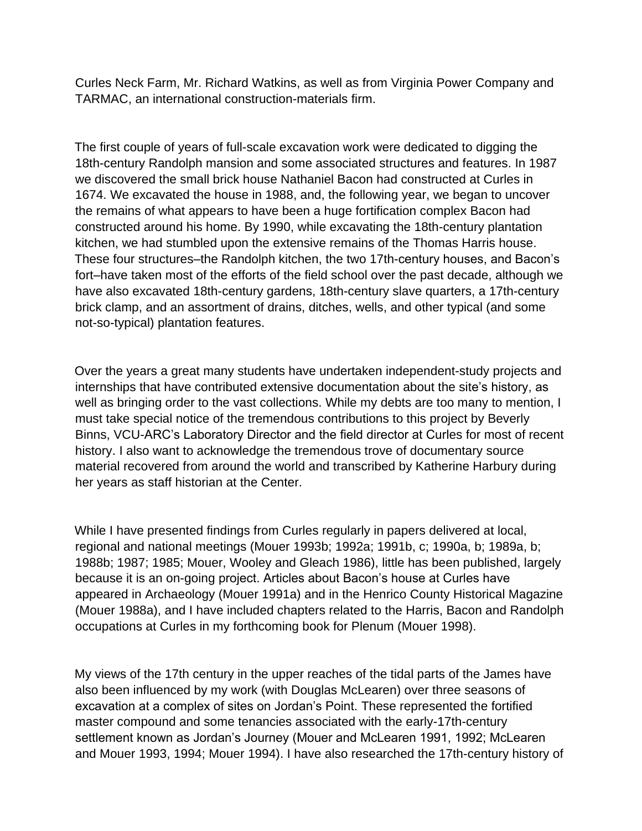Curles Neck Farm, Mr. Richard Watkins, as well as from Virginia Power Company and TARMAC, an international construction-materials firm.

The first couple of years of full-scale excavation work were dedicated to digging the 18th-century Randolph mansion and some associated structures and features. In 1987 we discovered the small brick house Nathaniel Bacon had constructed at Curles in 1674. We excavated the house in 1988, and, the following year, we began to uncover the remains of what appears to have been a huge fortification complex Bacon had constructed around his home. By 1990, while excavating the 18th-century plantation kitchen, we had stumbled upon the extensive remains of the Thomas Harris house. These four structures–the Randolph kitchen, the two 17th-century houses, and Bacon's fort–have taken most of the efforts of the field school over the past decade, although we have also excavated 18th-century gardens, 18th-century slave quarters, a 17th-century brick clamp, and an assortment of drains, ditches, wells, and other typical (and some not-so-typical) plantation features.

Over the years a great many students have undertaken independent-study projects and internships that have contributed extensive documentation about the site's history, as well as bringing order to the vast collections. While my debts are too many to mention, I must take special notice of the tremendous contributions to this project by Beverly Binns, VCU-ARC's Laboratory Director and the field director at Curles for most of recent history. I also want to acknowledge the tremendous trove of documentary source material recovered from around the world and transcribed by Katherine Harbury during her years as staff historian at the Center.

While I have presented findings from Curles regularly in papers delivered at local, regional and national meetings (Mouer 1993b; 1992a; 1991b, c; 1990a, b; 1989a, b; 1988b; 1987; 1985; Mouer, Wooley and Gleach 1986), little has been published, largely because it is an on-going project. Articles about Bacon's house at Curles have appeared in Archaeology (Mouer 1991a) and in the Henrico County Historical Magazine (Mouer 1988a), and I have included chapters related to the Harris, Bacon and Randolph occupations at Curles in my forthcoming book for Plenum (Mouer 1998).

My views of the 17th century in the upper reaches of the tidal parts of the James have also been influenced by my work (with Douglas McLearen) over three seasons of excavation at a complex of sites on Jordan's Point. These represented the fortified master compound and some tenancies associated with the early-17th-century settlement known as Jordan's Journey (Mouer and McLearen 1991, 1992; McLearen and Mouer 1993, 1994; Mouer 1994). I have also researched the 17th-century history of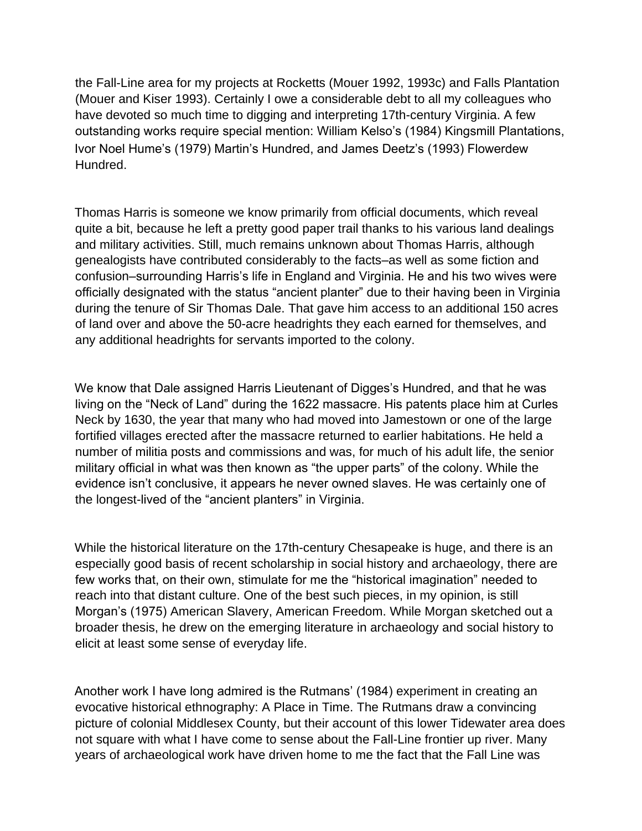the Fall-Line area for my projects at Rocketts (Mouer 1992, 1993c) and Falls Plantation (Mouer and Kiser 1993). Certainly I owe a considerable debt to all my colleagues who have devoted so much time to digging and interpreting 17th-century Virginia. A few outstanding works require special mention: William Kelso's (1984) Kingsmill Plantations, Ivor Noel Hume's (1979) Martin's Hundred, and James Deetz's (1993) Flowerdew Hundred.

Thomas Harris is someone we know primarily from official documents, which reveal quite a bit, because he left a pretty good paper trail thanks to his various land dealings and military activities. Still, much remains unknown about Thomas Harris, although genealogists have contributed considerably to the facts–as well as some fiction and confusion–surrounding Harris's life in England and Virginia. He and his two wives were officially designated with the status "ancient planter" due to their having been in Virginia during the tenure of Sir Thomas Dale. That gave him access to an additional 150 acres of land over and above the 50-acre headrights they each earned for themselves, and any additional headrights for servants imported to the colony.

We know that Dale assigned Harris Lieutenant of Digges's Hundred, and that he was living on the "Neck of Land" during the 1622 massacre. His patents place him at Curles Neck by 1630, the year that many who had moved into Jamestown or one of the large fortified villages erected after the massacre returned to earlier habitations. He held a number of militia posts and commissions and was, for much of his adult life, the senior military official in what was then known as "the upper parts" of the colony. While the evidence isn't conclusive, it appears he never owned slaves. He was certainly one of the longest-lived of the "ancient planters" in Virginia.

While the historical literature on the 17th-century Chesapeake is huge, and there is an especially good basis of recent scholarship in social history and archaeology, there are few works that, on their own, stimulate for me the "historical imagination" needed to reach into that distant culture. One of the best such pieces, in my opinion, is still Morgan's (1975) American Slavery, American Freedom. While Morgan sketched out a broader thesis, he drew on the emerging literature in archaeology and social history to elicit at least some sense of everyday life.

Another work I have long admired is the Rutmans' (1984) experiment in creating an evocative historical ethnography: A Place in Time. The Rutmans draw a convincing picture of colonial Middlesex County, but their account of this lower Tidewater area does not square with what I have come to sense about the Fall-Line frontier up river. Many years of archaeological work have driven home to me the fact that the Fall Line was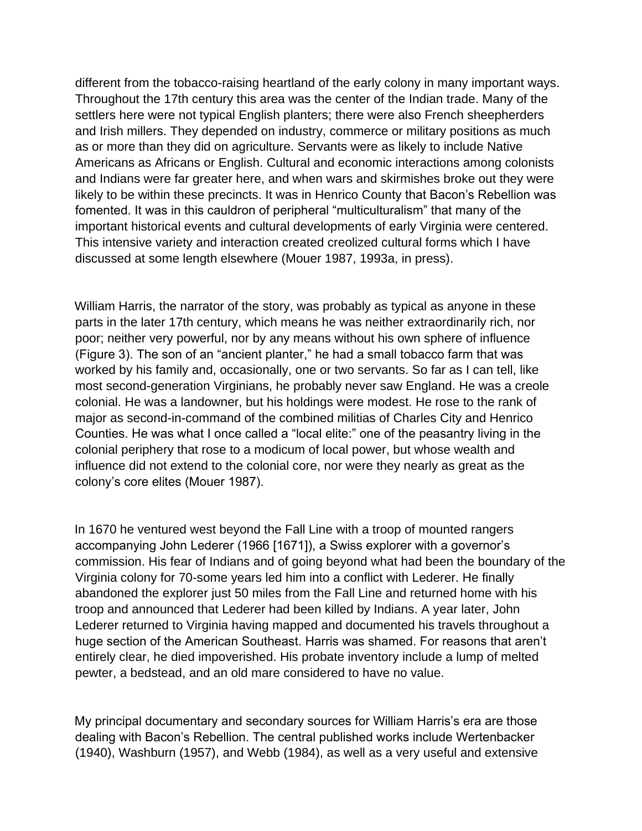different from the tobacco-raising heartland of the early colony in many important ways. Throughout the 17th century this area was the center of the Indian trade. Many of the settlers here were not typical English planters; there were also French sheepherders and Irish millers. They depended on industry, commerce or military positions as much as or more than they did on agriculture. Servants were as likely to include Native Americans as Africans or English. Cultural and economic interactions among colonists and Indians were far greater here, and when wars and skirmishes broke out they were likely to be within these precincts. It was in Henrico County that Bacon's Rebellion was fomented. It was in this cauldron of peripheral "multiculturalism" that many of the important historical events and cultural developments of early Virginia were centered. This intensive variety and interaction created creolized cultural forms which I have discussed at some length elsewhere (Mouer 1987, 1993a, in press).

William Harris, the narrator of the story, was probably as typical as anyone in these parts in the later 17th century, which means he was neither extraordinarily rich, nor poor; neither very powerful, nor by any means without his own sphere of influence (Figure 3). The son of an "ancient planter," he had a small tobacco farm that was worked by his family and, occasionally, one or two servants. So far as I can tell, like most second-generation Virginians, he probably never saw England. He was a creole colonial. He was a landowner, but his holdings were modest. He rose to the rank of major as second-in-command of the combined militias of Charles City and Henrico Counties. He was what I once called a "local elite:" one of the peasantry living in the colonial periphery that rose to a modicum of local power, but whose wealth and influence did not extend to the colonial core, nor were they nearly as great as the colony's core elites (Mouer 1987).

In 1670 he ventured west beyond the Fall Line with a troop of mounted rangers accompanying John Lederer (1966 [1671]), a Swiss explorer with a governor's commission. His fear of Indians and of going beyond what had been the boundary of the Virginia colony for 70-some years led him into a conflict with Lederer. He finally abandoned the explorer just 50 miles from the Fall Line and returned home with his troop and announced that Lederer had been killed by Indians. A year later, John Lederer returned to Virginia having mapped and documented his travels throughout a huge section of the American Southeast. Harris was shamed. For reasons that aren't entirely clear, he died impoverished. His probate inventory include a lump of melted pewter, a bedstead, and an old mare considered to have no value.

My principal documentary and secondary sources for William Harris's era are those dealing with Bacon's Rebellion. The central published works include Wertenbacker (1940), Washburn (1957), and Webb (1984), as well as a very useful and extensive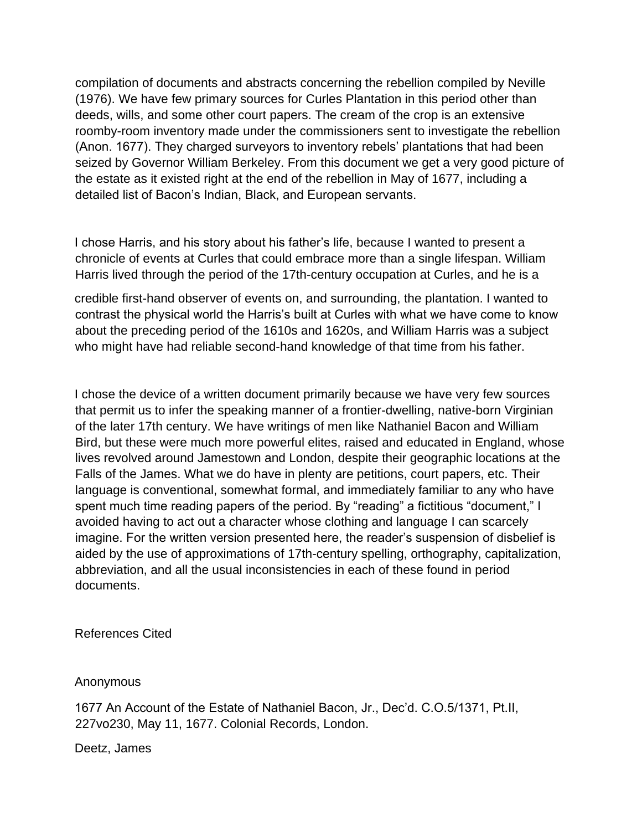compilation of documents and abstracts concerning the rebellion compiled by Neville (1976). We have few primary sources for Curles Plantation in this period other than deeds, wills, and some other court papers. The cream of the crop is an extensive roomby-room inventory made under the commissioners sent to investigate the rebellion (Anon. 1677). They charged surveyors to inventory rebels' plantations that had been seized by Governor William Berkeley. From this document we get a very good picture of the estate as it existed right at the end of the rebellion in May of 1677, including a detailed list of Bacon's Indian, Black, and European servants.

I chose Harris, and his story about his father's life, because I wanted to present a chronicle of events at Curles that could embrace more than a single lifespan. William Harris lived through the period of the 17th-century occupation at Curles, and he is a

credible first-hand observer of events on, and surrounding, the plantation. I wanted to contrast the physical world the Harris's built at Curles with what we have come to know about the preceding period of the 1610s and 1620s, and William Harris was a subject who might have had reliable second-hand knowledge of that time from his father.

I chose the device of a written document primarily because we have very few sources that permit us to infer the speaking manner of a frontier-dwelling, native-born Virginian of the later 17th century. We have writings of men like Nathaniel Bacon and William Bird, but these were much more powerful elites, raised and educated in England, whose lives revolved around Jamestown and London, despite their geographic locations at the Falls of the James. What we do have in plenty are petitions, court papers, etc. Their language is conventional, somewhat formal, and immediately familiar to any who have spent much time reading papers of the period. By "reading" a fictitious "document," I avoided having to act out a character whose clothing and language I can scarcely imagine. For the written version presented here, the reader's suspension of disbelief is aided by the use of approximations of 17th-century spelling, orthography, capitalization, abbreviation, and all the usual inconsistencies in each of these found in period documents.

References Cited

Anonymous

1677 An Account of the Estate of Nathaniel Bacon, Jr., Dec'd. C.O.5/1371, Pt.II, 227vo230, May 11, 1677. Colonial Records, London.

Deetz, James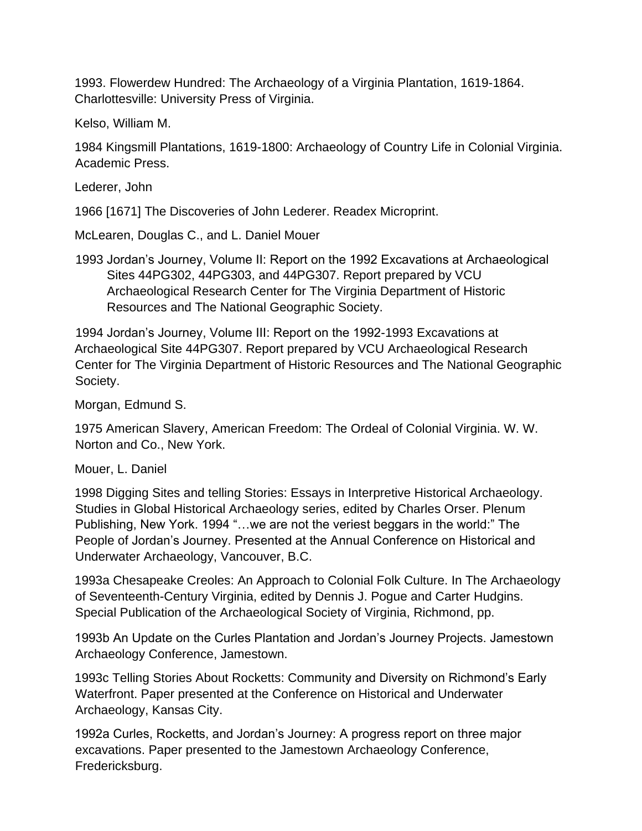1993. Flowerdew Hundred: The Archaeology of a Virginia Plantation, 1619-1864. Charlottesville: University Press of Virginia.

Kelso, William M.

1984 Kingsmill Plantations, 1619-1800: Archaeology of Country Life in Colonial Virginia. Academic Press.

Lederer, John

1966 [1671] The Discoveries of John Lederer. Readex Microprint.

McLearen, Douglas C., and L. Daniel Mouer

1993 Jordan's Journey, Volume II: Report on the 1992 Excavations at Archaeological Sites 44PG302, 44PG303, and 44PG307. Report prepared by VCU Archaeological Research Center for The Virginia Department of Historic Resources and The National Geographic Society.

1994 Jordan's Journey, Volume III: Report on the 1992-1993 Excavations at Archaeological Site 44PG307. Report prepared by VCU Archaeological Research Center for The Virginia Department of Historic Resources and The National Geographic Society.

Morgan, Edmund S.

1975 American Slavery, American Freedom: The Ordeal of Colonial Virginia. W. W. Norton and Co., New York.

# Mouer, L. Daniel

1998 Digging Sites and telling Stories: Essays in Interpretive Historical Archaeology. Studies in Global Historical Archaeology series, edited by Charles Orser. Plenum Publishing, New York. 1994 "…we are not the veriest beggars in the world:" The People of Jordan's Journey. Presented at the Annual Conference on Historical and Underwater Archaeology, Vancouver, B.C.

1993a Chesapeake Creoles: An Approach to Colonial Folk Culture. In The Archaeology of Seventeenth-Century Virginia, edited by Dennis J. Pogue and Carter Hudgins. Special Publication of the Archaeological Society of Virginia, Richmond, pp.

1993b An Update on the Curles Plantation and Jordan's Journey Projects. Jamestown Archaeology Conference, Jamestown.

1993c Telling Stories About Rocketts: Community and Diversity on Richmond's Early Waterfront. Paper presented at the Conference on Historical and Underwater Archaeology, Kansas City.

1992a Curles, Rocketts, and Jordan's Journey: A progress report on three major excavations. Paper presented to the Jamestown Archaeology Conference, Fredericksburg.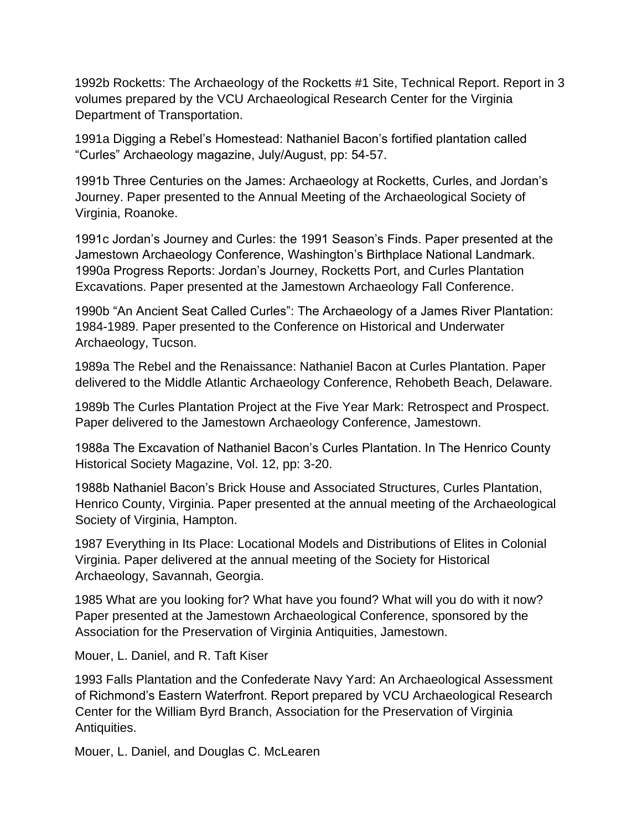1992b Rocketts: The Archaeology of the Rocketts #1 Site, Technical Report. Report in 3 volumes prepared by the VCU Archaeological Research Center for the Virginia Department of Transportation.

1991a Digging a Rebel's Homestead: Nathaniel Bacon's fortified plantation called "Curles" Archaeology magazine, July/August, pp: 54-57.

1991b Three Centuries on the James: Archaeology at Rocketts, Curles, and Jordan's Journey. Paper presented to the Annual Meeting of the Archaeological Society of Virginia, Roanoke.

1991c Jordan's Journey and Curles: the 1991 Season's Finds. Paper presented at the Jamestown Archaeology Conference, Washington's Birthplace National Landmark. 1990a Progress Reports: Jordan's Journey, Rocketts Port, and Curles Plantation Excavations. Paper presented at the Jamestown Archaeology Fall Conference.

1990b "An Ancient Seat Called Curles": The Archaeology of a James River Plantation: 1984-1989. Paper presented to the Conference on Historical and Underwater Archaeology, Tucson.

1989a The Rebel and the Renaissance: Nathaniel Bacon at Curles Plantation. Paper delivered to the Middle Atlantic Archaeology Conference, Rehobeth Beach, Delaware.

1989b The Curles Plantation Project at the Five Year Mark: Retrospect and Prospect. Paper delivered to the Jamestown Archaeology Conference, Jamestown.

1988a The Excavation of Nathaniel Bacon's Curles Plantation. In The Henrico County Historical Society Magazine, Vol. 12, pp: 3-20.

1988b Nathaniel Bacon's Brick House and Associated Structures, Curles Plantation, Henrico County, Virginia. Paper presented at the annual meeting of the Archaeological Society of Virginia, Hampton.

1987 Everything in Its Place: Locational Models and Distributions of Elites in Colonial Virginia. Paper delivered at the annual meeting of the Society for Historical Archaeology, Savannah, Georgia.

1985 What are you looking for? What have you found? What will you do with it now? Paper presented at the Jamestown Archaeological Conference, sponsored by the Association for the Preservation of Virginia Antiquities, Jamestown.

Mouer, L. Daniel, and R. Taft Kiser

1993 Falls Plantation and the Confederate Navy Yard: An Archaeological Assessment of Richmond's Eastern Waterfront. Report prepared by VCU Archaeological Research Center for the William Byrd Branch, Association for the Preservation of Virginia Antiquities.

Mouer, L. Daniel, and Douglas C. McLearen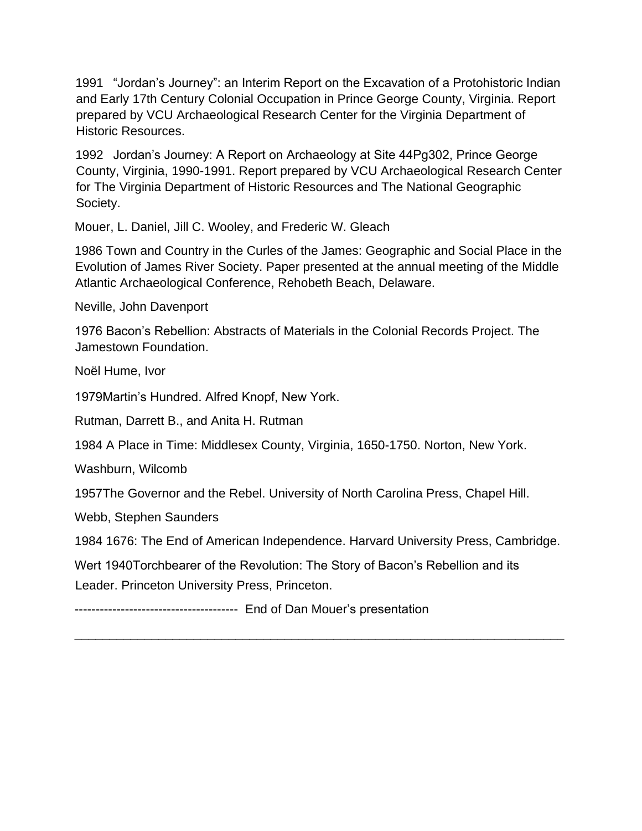1991 "Jordan's Journey": an Interim Report on the Excavation of a Protohistoric Indian and Early 17th Century Colonial Occupation in Prince George County, Virginia. Report prepared by VCU Archaeological Research Center for the Virginia Department of Historic Resources.

1992 Jordan's Journey: A Report on Archaeology at Site 44Pg302, Prince George County, Virginia, 1990-1991. Report prepared by VCU Archaeological Research Center for The Virginia Department of Historic Resources and The National Geographic Society.

Mouer, L. Daniel, Jill C. Wooley, and Frederic W. Gleach

1986 Town and Country in the Curles of the James: Geographic and Social Place in the Evolution of James River Society. Paper presented at the annual meeting of the Middle Atlantic Archaeological Conference, Rehobeth Beach, Delaware.

Neville, John Davenport

1976 Bacon's Rebellion: Abstracts of Materials in the Colonial Records Project. The Jamestown Foundation.

Noël Hume, Ivor

1979Martin's Hundred. Alfred Knopf, New York.

Rutman, Darrett B., and Anita H. Rutman

1984 A Place in Time: Middlesex County, Virginia, 1650-1750. Norton, New York.

Washburn, Wilcomb

1957The Governor and the Rebel. University of North Carolina Press, Chapel Hill.

Webb, Stephen Saunders

1984 1676: The End of American Independence. Harvard University Press, Cambridge.

\_\_\_\_\_\_\_\_\_\_\_\_\_\_\_\_\_\_\_\_\_\_\_\_\_\_\_\_\_\_\_\_\_\_\_\_\_\_\_\_\_\_\_\_\_\_\_\_\_\_\_\_\_\_\_\_\_\_\_\_\_\_\_\_\_\_\_\_\_\_

Wert 1940Torchbearer of the Revolution: The Story of Bacon's Rebellion and its Leader. Princeton University Press, Princeton.

--------------------------------------- End of Dan Mouer's presentation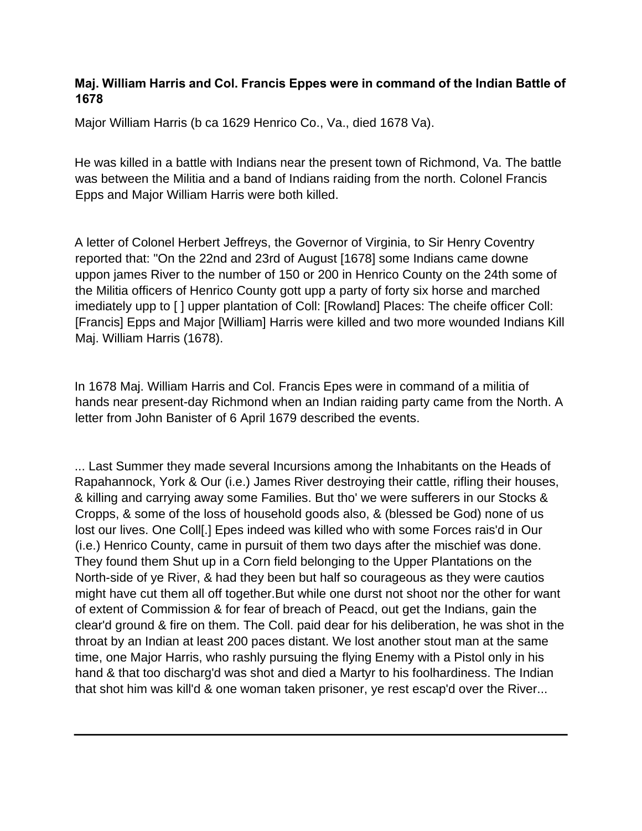# **Maj. William Harris and Col. Francis Eppes were in command of the Indian Battle of 1678**

Major William Harris (b ca 1629 Henrico Co., Va., died 1678 Va).

He was killed in a battle with Indians near the present town of Richmond, Va. The battle was between the Militia and a band of Indians raiding from the north. Colonel Francis Epps and Major William Harris were both killed.

A letter of Colonel Herbert Jeffreys, the Governor of Virginia, to Sir Henry Coventry reported that: "On the 22nd and 23rd of August [1678] some Indians came downe uppon james River to the number of 150 or 200 in Henrico County on the 24th some of the Militia officers of Henrico County gott upp a party of forty six horse and marched imediately upp to [ ] upper plantation of Coll: [Rowland] Places: The cheife officer Coll: [Francis] Epps and Major [William] Harris were killed and two more wounded Indians Kill Maj. William Harris (1678).

In 1678 Maj. William Harris and Col. Francis Epes were in command of a militia of hands near present-day Richmond when an Indian raiding party came from the North. A letter from John Banister of 6 April 1679 described the events.

... Last Summer they made several Incursions among the Inhabitants on the Heads of Rapahannock, York & Our (i.e.) James River destroying their cattle, rifling their houses, & killing and carrying away some Families. But tho' we were sufferers in our Stocks & Cropps, & some of the loss of household goods also, & (blessed be God) none of us lost our lives. One Coll[.] Epes indeed was killed who with some Forces rais'd in Our (i.e.) Henrico County, came in pursuit of them two days after the mischief was done. They found them Shut up in a Corn field belonging to the Upper Plantations on the North-side of ye River, & had they been but half so courageous as they were cautios might have cut them all off together.But while one durst not shoot nor the other for want of extent of Commission & for fear of breach of Peacd, out get the Indians, gain the clear'd ground & fire on them. The Coll. paid dear for his deliberation, he was shot in the throat by an Indian at least 200 paces distant. We lost another stout man at the same time, one Major Harris, who rashly pursuing the flying Enemy with a Pistol only in his hand & that too discharg'd was shot and died a Martyr to his foolhardiness. The Indian that shot him was kill'd & one woman taken prisoner, ye rest escap'd over the River...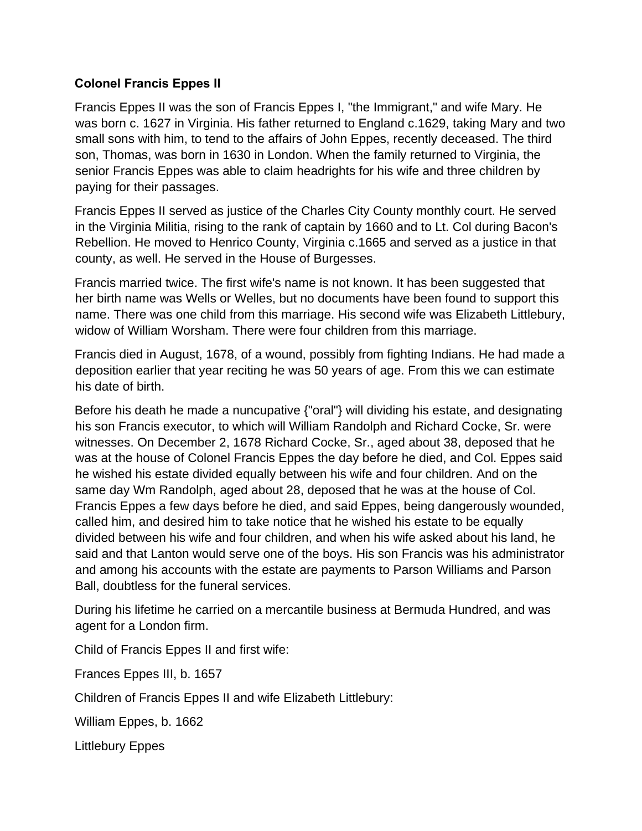## **Colonel Francis Eppes II**

Francis Eppes II was the son of Francis Eppes I, "the Immigrant," and wife Mary. He was born c. 1627 in Virginia. His father returned to England c.1629, taking Mary and two small sons with him, to tend to the affairs of John Eppes, recently deceased. The third son, Thomas, was born in 1630 in London. When the family returned to Virginia, the senior Francis Eppes was able to claim headrights for his wife and three children by paying for their passages.

Francis Eppes II served as justice of the Charles City County monthly court. He served in the Virginia Militia, rising to the rank of captain by 1660 and to Lt. Col during Bacon's Rebellion. He moved to Henrico County, Virginia c.1665 and served as a justice in that county, as well. He served in the House of Burgesses.

Francis married twice. The first wife's name is not known. It has been suggested that her birth name was Wells or Welles, but no documents have been found to support this name. There was one child from this marriage. His second wife was Elizabeth Littlebury, widow of William Worsham. There were four children from this marriage.

Francis died in August, 1678, of a wound, possibly from fighting Indians. He had made a deposition earlier that year reciting he was 50 years of age. From this we can estimate his date of birth.

Before his death he made a nuncupative {"oral"} will dividing his estate, and designating his son Francis executor, to which will William Randolph and Richard Cocke, Sr. were witnesses. On December 2, 1678 Richard Cocke, Sr., aged about 38, deposed that he was at the house of Colonel Francis Eppes the day before he died, and Col. Eppes said he wished his estate divided equally between his wife and four children. And on the same day Wm Randolph, aged about 28, deposed that he was at the house of Col. Francis Eppes a few days before he died, and said Eppes, being dangerously wounded, called him, and desired him to take notice that he wished his estate to be equally divided between his wife and four children, and when his wife asked about his land, he said and that Lanton would serve one of the boys. His son Francis was his administrator and among his accounts with the estate are payments to Parson Williams and Parson Ball, doubtless for the funeral services.

During his lifetime he carried on a mercantile business at Bermuda Hundred, and was agent for a London firm.

Child of Francis Eppes II and first wife:

Frances Eppes III, b. 1657

Children of Francis Eppes II and wife Elizabeth Littlebury:

William Eppes, b. 1662

Littlebury Eppes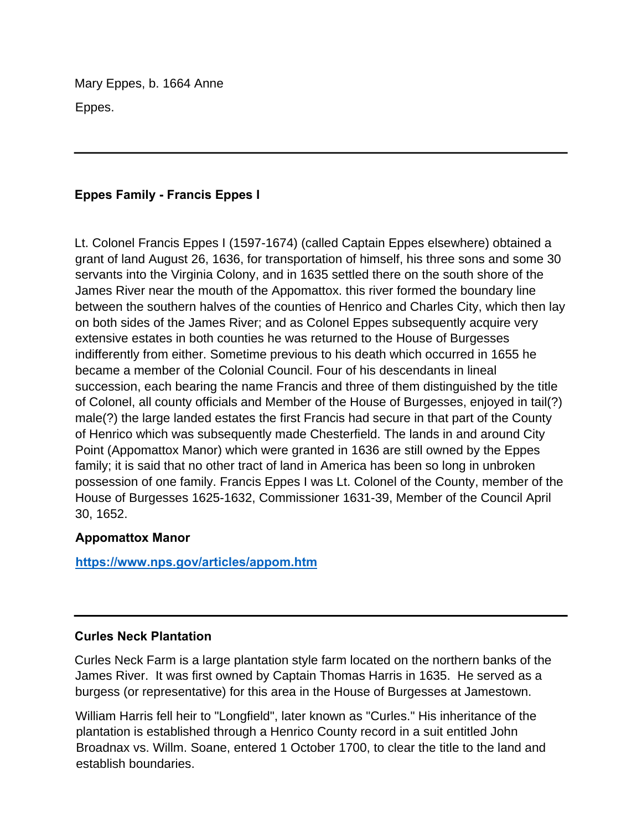Mary Eppes, b. 1664 Anne Eppes.

# **Eppes Family - Francis Eppes I**

Lt. Colonel Francis Eppes I (1597-1674) (called Captain Eppes elsewhere) obtained a grant of land August 26, 1636, for transportation of himself, his three sons and some 30 servants into the Virginia Colony, and in 1635 settled there on the south shore of the James River near the mouth of the Appomattox. this river formed the boundary line between the southern halves of the counties of Henrico and Charles City, which then lay on both sides of the James River; and as Colonel Eppes subsequently acquire very extensive estates in both counties he was returned to the House of Burgesses indifferently from either. Sometime previous to his death which occurred in 1655 he became a member of the Colonial Council. Four of his descendants in lineal succession, each bearing the name Francis and three of them distinguished by the title of Colonel, all county officials and Member of the House of Burgesses, enjoyed in tail(?) male(?) the large landed estates the first Francis had secure in that part of the County of Henrico which was subsequently made Chesterfield. The lands in and around City Point (Appomattox Manor) which were granted in 1636 are still owned by the Eppes family; it is said that no other tract of land in America has been so long in unbroken possession of one family. Francis Eppes I was Lt. Colonel of the County, member of the House of Burgesses 1625-1632, Commissioner 1631-39, Member of the Council April 30, 1652.

#### **Appomattox Manor**

**<https://www.nps.gov/articles/appom.htm>**

#### **Curles Neck Plantation**

Curles Neck Farm is a large plantation style farm located on the northern banks of the James River. It was first owned by Captain Thomas Harris in 1635. He served as a burgess (or representative) for this area in the House of Burgesses at Jamestown.

William Harris fell heir to "Longfield", later known as "Curles." His inheritance of the plantation is established through a Henrico County record in a suit entitled John Broadnax vs. Willm. Soane, entered 1 October 1700, to clear the title to the land and establish boundaries.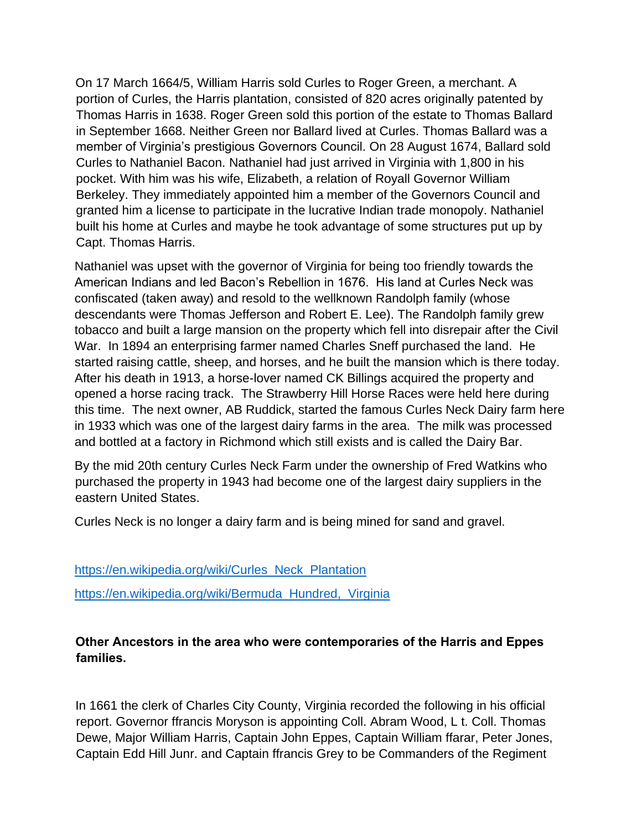On 17 March 1664/5, William Harris sold Curles to Roger Green, a merchant. A portion of Curles, the Harris plantation, consisted of 820 acres originally patented by Thomas Harris in 1638. Roger Green sold this portion of the estate to Thomas Ballard in September 1668. Neither Green nor Ballard lived at Curles. Thomas Ballard was a member of Virginia's prestigious Governors Council. On 28 August 1674, Ballard sold Curles to Nathaniel Bacon. Nathaniel had just arrived in Virginia with 1,800 in his pocket. With him was his wife, Elizabeth, a relation of Royall Governor William Berkeley. They immediately appointed him a member of the Governors Council and granted him a license to participate in the lucrative Indian trade monopoly. Nathaniel built his home at Curles and maybe he took advantage of some structures put up by Capt. Thomas Harris.

Nathaniel was upset with the governor of Virginia for being too friendly towards the American Indians and led Bacon's Rebellion in 1676. His land at Curles Neck was confiscated (taken away) and resold to the wellknown Randolph family (whose descendants were Thomas Jefferson and Robert E. Lee). The Randolph family grew tobacco and built a large mansion on the property which fell into disrepair after the Civil War. In 1894 an enterprising farmer named Charles Sneff purchased the land. He started raising cattle, sheep, and horses, and he built the mansion which is there today. After his death in 1913, a horse-lover named CK Billings acquired the property and opened a horse racing track. The Strawberry Hill Horse Races were held here during this time. The next owner, AB Ruddick, started the famous Curles Neck Dairy farm here in 1933 which was one of the largest dairy farms in the area. The milk was processed and bottled at a factory in Richmond which still exists and is called the Dairy Bar.

By the mid 20th century Curles Neck Farm under the ownership of Fred Watkins who purchased the property in 1943 had become one of the largest dairy suppliers in the eastern United States.

Curles Neck is no longer a dairy farm and is being mined for sand and gravel.

[https://en.wikipedia.org/wiki/Curles\\_Neck\\_Plantation](https://en.wikipedia.org/wiki/Curles_Neck_Plantation)

[https://en.wikipedia.org/wiki/Bermuda\\_Hundred,\\_Virginia](https://en.wikipedia.org/wiki/Bermuda_Hundred,_Virginia)

# **Other Ancestors in the area who were contemporaries of the Harris and Eppes families.**

In 1661 the clerk of Charles City County, Virginia recorded the following in his official report. Governor ffrancis Moryson is appointing Coll. Abram Wood, L t. Coll. Thomas Dewe, Major William Harris, Captain John Eppes, Captain William ffarar, Peter Jones, Captain Edd Hill Junr. and Captain ffrancis Grey to be Commanders of the Regiment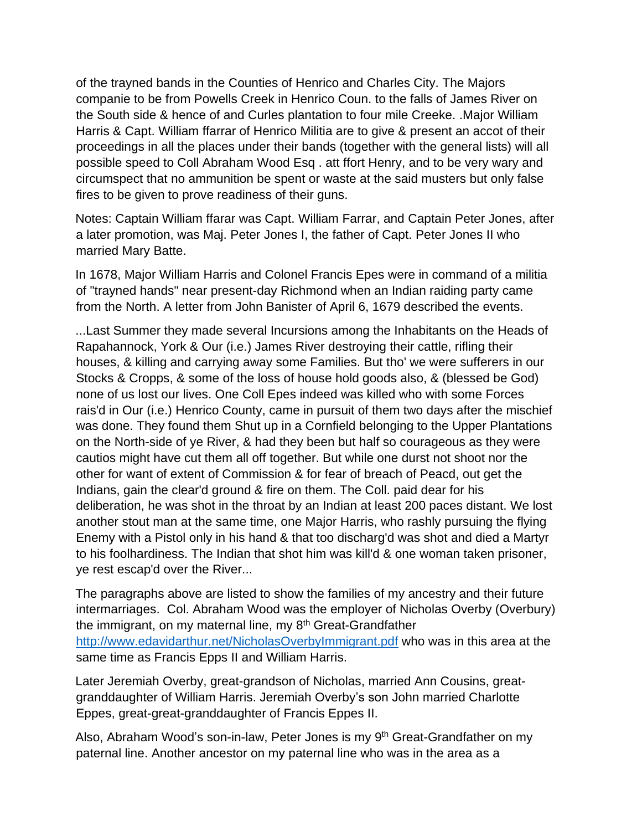of the trayned bands in the Counties of Henrico and Charles City. The Majors companie to be from Powells Creek in Henrico Coun. to the falls of James River on the South side & hence of and Curles plantation to four mile Creeke. .Major William Harris & Capt. William ffarrar of Henrico Militia are to give & present an accot of their proceedings in all the places under their bands (together with the general lists) will all possible speed to Coll Abraham Wood Esq . att ffort Henry, and to be very wary and circumspect that no ammunition be spent or waste at the said musters but only false fires to be given to prove readiness of their guns.

Notes: Captain William ffarar was Capt. William Farrar, and Captain Peter Jones, after a later promotion, was Maj. Peter Jones I, the father of Capt. Peter Jones II who married Mary Batte.

In 1678, Major William Harris and Colonel Francis Epes were in command of a militia of "trayned hands" near present-day Richmond when an Indian raiding party came from the North. A letter from John Banister of April 6, 1679 described the events.

...Last Summer they made several Incursions among the Inhabitants on the Heads of Rapahannock, York & Our (i.e.) James River destroying their cattle, rifling their houses, & killing and carrying away some Families. But tho' we were sufferers in our Stocks & Cropps, & some of the loss of house hold goods also, & (blessed be God) none of us lost our lives. One Coll Epes indeed was killed who with some Forces rais'd in Our (i.e.) Henrico County, came in pursuit of them two days after the mischief was done. They found them Shut up in a Cornfield belonging to the Upper Plantations on the North-side of ye River, & had they been but half so courageous as they were cautios might have cut them all off together. But while one durst not shoot nor the other for want of extent of Commission & for fear of breach of Peacd, out get the Indians, gain the clear'd ground & fire on them. The Coll. paid dear for his deliberation, he was shot in the throat by an Indian at least 200 paces distant. We lost another stout man at the same time, one Major Harris, who rashly pursuing the flying Enemy with a Pistol only in his hand & that too discharg'd was shot and died a Martyr to his foolhardiness. The Indian that shot him was kill'd & one woman taken prisoner, ye rest escap'd over the River...

The paragraphs above are listed to show the families of my ancestry and their future intermarriages. Col. Abraham Wood was the employer of Nicholas Overby (Overbury) the immigrant, on my maternal line, my 8<sup>th</sup> Great-Grandfather <http://www.edavidarthur.net/NicholasOverbyImmigrant.pdf> who was in this area at the same time as Francis Epps II and William Harris.

Later Jeremiah Overby, great-grandson of Nicholas, married Ann Cousins, greatgranddaughter of William Harris. Jeremiah Overby's son John married Charlotte Eppes, great-great-granddaughter of Francis Eppes II.

Also, Abraham Wood's son-in-law, Peter Jones is my 9<sup>th</sup> Great-Grandfather on my paternal line. Another ancestor on my paternal line who was in the area as a